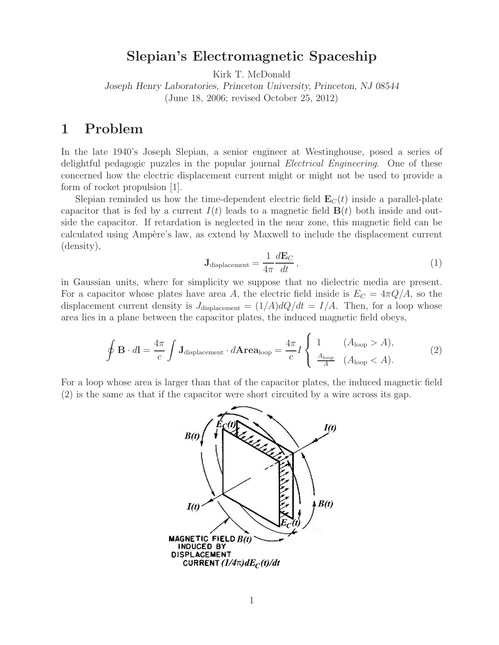**Slepian's Electromagnetic Spaceship** Kirk T. McDonald

*Joseph Henry Laboratories, Princeton University, Princeton, NJ 08544* (June 18, 2006; revised October 25, 2012)

In the late 1940's Joseph Slepian, a senior engineer at Westinghouse, posed a series of delightful pedagogic puzzles in the popular journal *Electrical Engineering*. One of these concerned how the electric displacement current might or might not be used to provide a form of rocket propulsion [1].

Slepian reminded us how the time-dependent electric field  $\mathbf{E}_C(t)$  inside a parallel-plate capacitor that is fed by a current  $I(t)$  leads to a magnetic field  $\mathbf{B}(t)$  both inside and outside the capacitor. If retardation is neglected in the near zone, this magnetic field can be calculated using Ampère's law, as extend by Maxwell to include the displacement current (density),

$$
\mathbf{J}_{\text{displacement}} = \frac{1}{4\pi} \frac{d\mathbf{E}_C}{dt},\tag{1}
$$

in Gaussian units, where for simplicity we suppose that no dielectric media are present. For a capacitor whose plates have area A, the electric field inside is  $E_C = 4\pi Q/A$ , so the displacement current density is  $J_{\text{displacement}} = (1/A)dQ/dt = I/A$ . Then, for a loop whose area lies in a plane between the capacitor plates, the induced magnetic field obeys,

$$
\oint \mathbf{B} \cdot d\mathbf{l} = \frac{4\pi}{c} \int \mathbf{J}_{\text{displacement}} \cdot d\mathbf{A} \mathbf{rea}_{\text{loop}} = \frac{4\pi}{c} I \begin{cases} 1 & (A_{\text{loop}} > A), \\ \frac{A_{\text{loop}}}{A} & (A_{\text{loop}} < A). \end{cases}
$$
(2)

For a loop whose area is larger than that of the capacitor plates, the induced magnetic field (2) is the same as that if the capacitor were short circuited by a wire across its gap.

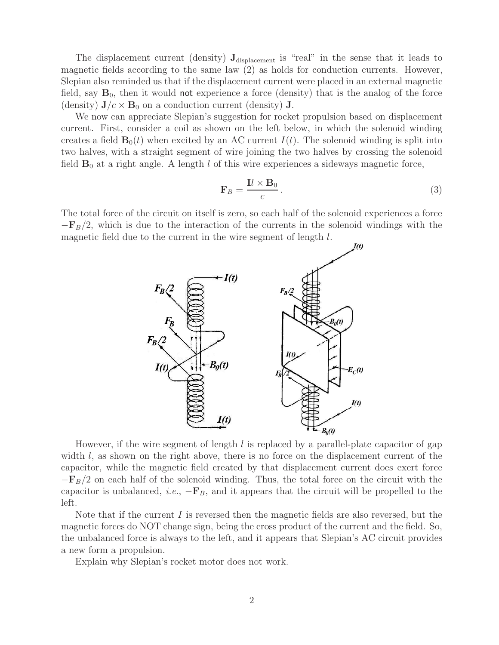The displacement current (density)  $J_{displacement}$  is "real" in the sense that it leads to magnetic fields according to the same law (2) as holds for conduction currents. However, Slepian also reminded us that if the displacement current were placed in an external magnetic field, say  $B_0$ , then it would not experience a force (density) that is the analog of the force (density)  $J/c \times B_0$  on a conduction current (density) **J**.

We now can appreciate Slepian's suggestion for rocket propulsion based on displacement current. First, consider a coil as shown on the left below, in which the solenoid winding creates a field  $\mathbf{B}_0(t)$  when excited by an AC current  $I(t)$ . The solenoid winding is split into two halves, with a straight segment of wire joining the two halves by crossing the solenoid field  $\mathbf{B}_0$  at a right angle. A length l of this wire experiences a sideways magnetic force,

$$
\mathbf{F}_B = \frac{\mathbf{I}l \times \mathbf{B}_0}{c} \,. \tag{3}
$$

The total force of the circuit on itself is zero, so each half of the solenoid experiences a force  $-{\bf F}_B/2$ , which is due to the interaction of the currents in the solenoid windings with the magnetic field due to the current in the wire segment of length l.



However, if the wire segment of length  $l$  is replaced by a parallel-plate capacitor of gap width  $l$ , as shown on the right above, there is no force on the displacement current of the capacitor, while the magnetic field created by that displacement current does exert force  $-\mathbf{F}_B/2$  on each half of the solenoid winding. Thus, the total force on the circuit with the capacitor is unbalanced, *i.e.*,  $-\mathbf{F}_B$ , and it appears that the circuit will be propelled to the left.

Note that if the current I is reversed then the magnetic fields are also reversed, but the magnetic forces do NOT change sign, being the cross product of the current and the field. So, the unbalanced force is always to the left, and it appears that Slepian's AC circuit provides a new form a propulsion.

Explain why Slepian's rocket motor does not work.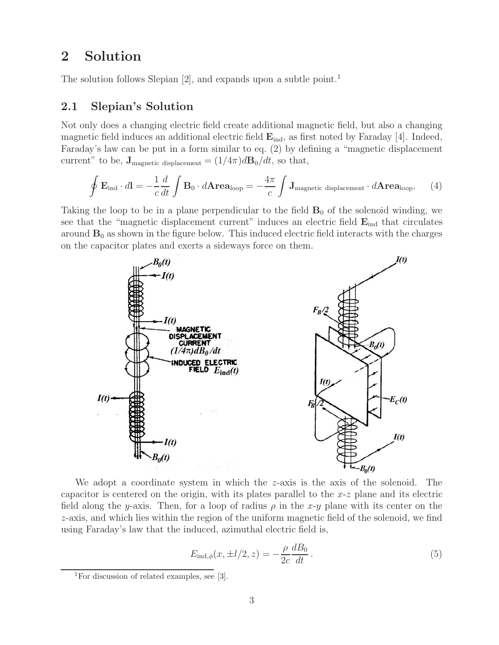# **2 Solution**

The solution follows Slepian [2], and expands upon a subtle point.<sup>1</sup>

### **2.1 Slepian's Solution**

Not only does a changing electric field create additional magnetic field, but also a changing magnetic field induces an additional electric field  $\mathbf{E}_{ind}$ , as first noted by Faraday [4]. Indeed, Faraday's law can be put in a form similar to eq. (2) by defining a "magnetic displacement current" to be,  $\mathbf{J}_{\text{magnetic displacement}} = (1/4\pi)d\mathbf{B}_0/dt$ , so that,

$$
\oint \mathbf{E}_{\text{ind}} \cdot d\mathbf{l} = -\frac{1}{c} \frac{d}{dt} \int \mathbf{B}_0 \cdot d\mathbf{Area}_{\text{loop}} = -\frac{4\pi}{c} \int \mathbf{J}_{\text{magnetic displacement}} \cdot d\mathbf{Area}_{\text{loop}}.
$$
 (4)

Taking the loop to be in a plane perpendicular to the field  $\mathbf{B}_0$  of the solenoid winding, we see that the "magnetic displacement current" induces an electric field  $\mathbf{E}_{ind}$  that circulates around  $\mathbf{B}_0$  as shown in the figure below. This induced electric field interacts with the charges on the capacitor plates and exerts a sideways force on them.



We adopt a coordinate system in which the z-axis is the axis of the solenoid. The capacitor is centered on the origin, with its plates parallel to the  $x-z$  plane and its electric field along the y-axis. Then, for a loop of radius  $\rho$  in the x-y plane with its center on the z-axis, and which lies within the region of the uniform magnetic field of the solenoid, we find using Faraday's law that the induced, azimuthal electric field is,

$$
E_{\text{ind},\phi}(x,\pm l/2,z) = -\frac{\rho}{2c} \frac{dB_0}{dt} \,. \tag{5}
$$

<sup>&</sup>lt;sup>1</sup>For discussion of related examples, see [3].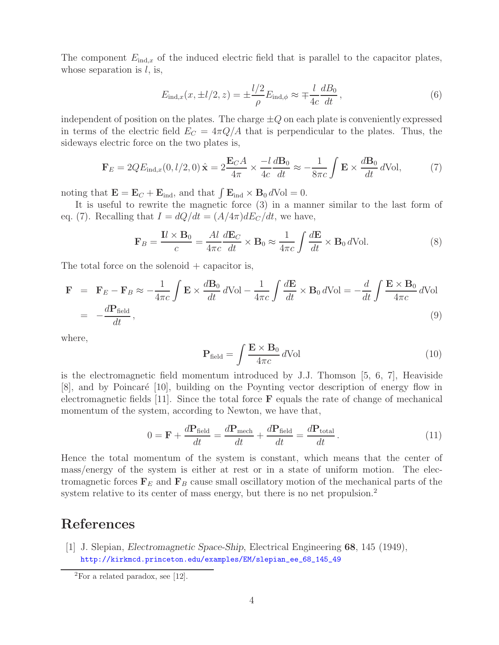The component  $E_{ind,x}$  of the induced electric field that is parallel to the capacitor plates, whose separation is  $l$ , is,

$$
E_{\text{ind},x}(x, \pm l/2, z) = \pm \frac{l/2}{\rho} E_{\text{ind},\phi} \approx \mp \frac{l}{4c} \frac{dB_0}{dt},
$$
\n(6)

independent of position on the plates. The charge  $\pm Q$  on each plate is conveniently expressed in terms of the electric field  $E_C = 4\pi Q/A$  that is perpendicular to the plates. Thus, the sideways electric force on the two plates is,

$$
\mathbf{F}_E = 2QE_{\text{ind},x}(0,l/2,0)\,\hat{\mathbf{x}} = 2\frac{\mathbf{E}_C A}{4\pi} \times \frac{-l}{4c} \frac{d\mathbf{B}_0}{dt} \approx -\frac{1}{8\pi c} \int \mathbf{E} \times \frac{d\mathbf{B}_0}{dt} \, d\text{Vol},\tag{7}
$$

noting that  $\mathbf{E} = \mathbf{E}_C + \mathbf{E}_{\text{ind}}$ , and that  $\int \mathbf{E}_{\text{ind}} \times \mathbf{B}_0 dVol = 0$ .

It is useful to rewrite the magnetic force (3) in a manner similar to the last form of eq. (7). Recalling that  $I = dQ/dt = (A/4\pi) dE_C/dt$ , we have,

$$
\mathbf{F}_B = \frac{\mathbf{I}l \times \mathbf{B}_0}{c} = \frac{Al}{4\pi c} \frac{d\mathbf{E}_C}{dt} \times \mathbf{B}_0 \approx \frac{1}{4\pi c} \int \frac{d\mathbf{E}}{dt} \times \mathbf{B}_0 d\text{Vol}.
$$
 (8)

The total force on the solenoid  $+$  capacitor is,

$$
\mathbf{F} = \mathbf{F}_E - \mathbf{F}_B \approx -\frac{1}{4\pi c} \int \mathbf{E} \times \frac{d\mathbf{B}_0}{dt} d\text{Vol} - \frac{1}{4\pi c} \int \frac{d\mathbf{E}}{dt} \times \mathbf{B}_0 d\text{Vol} = -\frac{d}{dt} \int \frac{\mathbf{E} \times \mathbf{B}_0}{4\pi c} d\text{Vol}
$$
  
= 
$$
-\frac{d\mathbf{P}_{\text{field}}}{dt},
$$
 (9)

where,

$$
\mathbf{P}_{\text{field}} = \int \frac{\mathbf{E} \times \mathbf{B}_0}{4\pi c} d\text{Vol} \tag{10}
$$

is the electromagnetic field momentum introduced by J.J. Thomson [5, 6, 7], Heaviside [8], and by Poincaré [10], building on the Poynting vector description of energy flow in electromagnetic fields [11]. Since the total force **F** equals the rate of change of mechanical momentum of the system, according to Newton, we have that,

$$
0 = \mathbf{F} + \frac{d\mathbf{P}_{\text{field}}}{dt} = \frac{d\mathbf{P}_{\text{mech}}}{dt} + \frac{d\mathbf{P}_{\text{field}}}{dt} = \frac{d\mathbf{P}_{\text{total}}}{dt}.
$$
 (11)

Hence the total momentum of the system is constant, which means that the center of mass/energy of the system is either at rest or in a state of uniform motion. The electromagnetic forces  $\mathbf{F}_E$  and  $\mathbf{F}_B$  cause small oscillatory motion of the mechanical parts of the system relative to its center of mass energy, but there is no net propulsion.<sup>2</sup>

# **References**

[1] J. Slepian, *Electromagnetic Space-Ship*, Electrical Engineering **68**, 145 (1949), http://kirkmcd.princeton.edu/examples/EM/slepian\_ee\_68\_145\_49

 ${}^{2}$ For a related paradox, see [12].